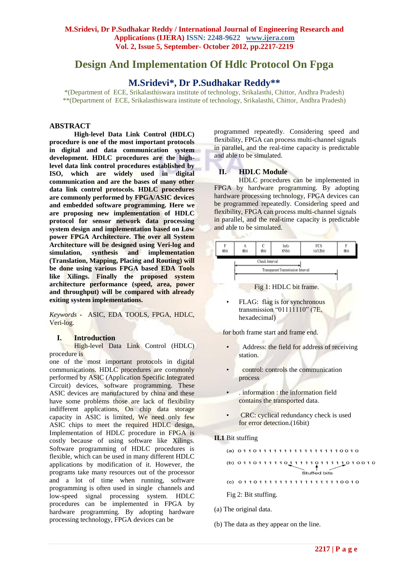# **Design And Implementation Of Hdlc Protocol On Fpga**

# **M.Sridevi\*, Dr P.Sudhakar Reddy\*\***

\*(Department of ECE, Srikalasthiswara institute of technology, Srikalasthi, Chittor, Andhra Pradesh) \*\*(Department of ECE, Srikalasthiswara institute of technology, Srikalasthi, Chittor, Andhra Pradesh)

# **ABSTRACT**

**High-level Data Link Control (HDLC) procedure is one of the most important protocols in digital and data communication system development. HDLC procedures are the highlevel data link control procedures established by ISO, which are widely used in digital communication and are the bases of many other data link control protocols. HDLC procedures are commonly performed by FPGA/ASIC devices and embedded software programming. Here we are proposing new implementation of HDLC protocol for sensor network data processing system design and implementation based on Low power FPGA Architecture. The over all System Architecture will be designed using Veri-log and simulation, synthesis and implementation (Translation, Mapping, Placing and Routing) will be done using various FPGA based EDA Tools like Xilings. Finally the proposed system architecture performance (speed, area, power and throughput) will be compared with already exiting system implementations.**

*Keywords* **-** ASIC, EDA TOOLS, FPGA, HDLC, Veri-log.

#### **I. Introduction**

High-level Data Link Control (HDLC) procedure is

one of the most important protocols in digital communications. HDLC procedures are commonly performed by ASIC (Application Specific Integrated Circuit) devices, software programming. These ASIC devices are manufactured by china and these have some problems those are lack of flexibility indifferent applications, On chip data storage capacity in ASIC is limited, We need only few ASIC chips to meet the required HDLC design, Implementation of HDLC procedure in FPGA is costly because of using software like Xilings. Software programming of HDLC procedures is flexible, which can be used in many different HDLC applications by modification of it. However, the programs take many resources out of the processor and a lot of time when running, software programming is often used in single channels and low-speed signal processing system. HDLC procedures can be implemented in FPGA by hardware programming. By adopting hardware processing technology, FPGA devices can be

programmed repeatedly. Considering speed and flexibility, FPGA can process multi-channel signals in parallel, and the real-time capacity is predictable and able to be simulated.

# **II. HDLC Module**

HDLC procedures can be implemented in FPGA by hardware programming. By adopting hardware processing technology, FPGA devices can be programmed repeatedly. Considering speed and flexibility, FPGA can process multi-channel signals in parallel, and the real-time capacity is predictable and able to be simulated.



- Address: the field for address of receiving station.
- control: controls the communication process
- . information : the information field contains the transported data.
- CRC: cyclical redundancy check is used for error detection.(16bit)

#### **II.1** Bit stuffing

|  | (a) 011011111111111111110010    |  |  |  |  |  |  |              |  |  |  |  |  |
|--|---------------------------------|--|--|--|--|--|--|--------------|--|--|--|--|--|
|  | (b) 011011111011111011111010010 |  |  |  |  |  |  | Stuffed bits |  |  |  |  |  |
|  | (c) 011011111111111111110010    |  |  |  |  |  |  |              |  |  |  |  |  |
|  | Fig 2: Bit stuffing.            |  |  |  |  |  |  |              |  |  |  |  |  |

- (a) The original data.
- (b) The data as they appear on the line.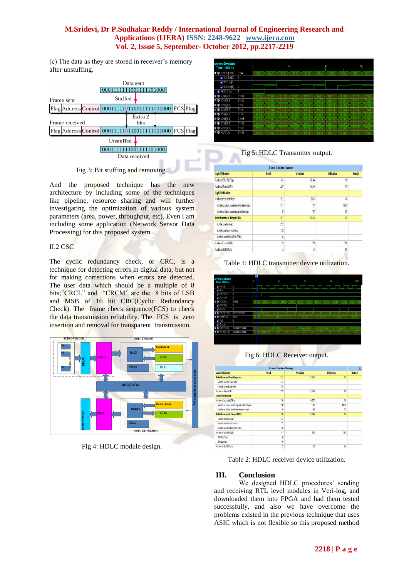# **M.Sridevi, Dr P.Sudhakar Reddy / International Journal of Engineering Research and Applications (IJERA) ISSN: 2248-9622 www.ijera.com Vol. 2, Issue 5, September- October 2012, pp.2217-2219**

(c) The data as they are stored in receiver's memory after unstuffing.

|                |  | Data sent<br>0001111111001111101000            |  |                 |  |  |                 |  |  |
|----------------|--|------------------------------------------------|--|-----------------|--|--|-----------------|--|--|
| Frame sent     |  | Stuffed                                        |  |                 |  |  |                 |  |  |
|                |  | Flag Address Control  000111110110011111001000 |  |                 |  |  | <b>FCS</b> Flag |  |  |
| Frame received |  |                                                |  | Extra 2<br>bits |  |  |                 |  |  |
|                |  | Flag Address Control 000111110110011111001000  |  |                 |  |  | <b>FCS</b> Flag |  |  |
| Unstuffed      |  |                                                |  |                 |  |  |                 |  |  |
|                |  |                                                |  |                 |  |  |                 |  |  |
|                |  | Data received                                  |  |                 |  |  |                 |  |  |
|                |  |                                                |  |                 |  |  |                 |  |  |

Fig 3: Bit stuffing and removing.

And the proposed technique has the new architecture by including some of the techniques like pipeline, resource sharing and will further investigating the optimization of various system parameters (area, power, throughput, etc). Even I am including some application (Network Sensor Data Processing) for this proposed system.

# II.2 CSC

The cyclic redundancy check, or CRC, is a technique for detecting errors in digital data, but not for making corrections when errors are detected. The user data which should be a multiple of 8 bits;"CRCL" and "CRCM" are the 8 bits of LSB and MSB of 16 bit CRC(Cyclic Redundancy Check). The frame check sequence(FCS) to check the data transmission reliability. The FCS is zero insertion and removal for transparent transmission.



Fig 4: HDLC module design.

| urrent Simulatio<br><b>Time: 1000 ns</b> |                   | n                |                   | 30               |                     |                   | 60                    |                      |                       | 90                |                   |
|------------------------------------------|-------------------|------------------|-------------------|------------------|---------------------|-------------------|-----------------------|----------------------|-----------------------|-------------------|-------------------|
| ■ M ChSel[2:0]                           | 3 <sub>h4</sub>   | 3 <sub>h0</sub>  | 3 <sub>h</sub>    | 3 <sub>h2</sub>  | 3 <sup>n</sup> 3    | 3 <sub>h</sub>    | 3 <sup>n</sup> h5     | 3 <sup>n</sup> h6    | 3 <sub>h7</sub>       | 3 <sub>h0</sub>   | 3 <sup>th1</sup>  |
| &I ChSel[2]                              |                   |                  |                   |                  |                     |                   |                       |                      |                       |                   |                   |
| &TChSel[1]                               | $\theta$          |                  |                   |                  |                     |                   |                       |                      |                       |                   |                   |
| <b>M</b> ChSel[0]                        | $\overline{0}$    |                  |                   |                  |                     |                   |                       |                      |                       |                   |                   |
| <b>&amp;I</b> ADCEna                     | 1                 |                  |                   |                  |                     |                   |                       |                      |                       |                   |                   |
| <b>B</b> & Ch0[7:0]                      | 8'h11             | 8 <sup>h00</sup> | 8'h01             | 8 <sup>th1</sup> | 8'h01               | 8'h11             | 8'h01                 | 8'h11                | 8'h01                 | 8'h11             | 8'h01             |
| <b>¤ MCh1[7:0]</b>                       | 8'h12             | 8'h00            | 8'h02             | 8'h12            | 8 <sup>h</sup><br>m | 8 <sup>th12</sup> | 8 <sup>h</sup><br>102 | 12<br>8 <sup>1</sup> | i02<br>8 <sup>h</sup> | 8'h12             | 8 <sup>h</sup> 02 |
| <b>□ M</b> Ch2[7:0]                      | 8'h13             | 8'h00            | 8'h03             | 8'h13            | 8'h03               | 8'h13             | 8'h03                 | 8'h13                | 8'h03                 | 8'h13             | 8 <sub>h03</sub>  |
| <b>□ M Ch3[7:0]</b>                      | 8 <sup>h</sup> 14 | 8'h00            | 8'h04             | 8'h14            | 8'h04               | 8'h14             | 8'h04                 | 8'h14                | 8'h04                 | 8'h14             | 8'h04             |
| <b>¤ 경</b> Ch4[7:0]                      | 8'h15             | 8'h00            | 8'h05             | 8 <sup>h15</sup> | 8 <sup>h05</sup>    | 8'h15             | 8'h05                 | 8'h15                | 8'h05                 | 8'h15             | 8'h05             |
| <b>□ M</b> Ch5[7:0]                      | 8 <sup>h16</sup>  | 8'h00            | 8'h06             | 8'h16            | 8'h06               | 8'h16             | 8'h06                 | 8'h16                | 8'h06                 | 8 <sup>n</sup> 16 | 8'h06             |
| <b>□ M Ch8[7:0]</b>                      | 8'h17             | 8'h00            | 8'h07             | 8 <sup>th1</sup> | 8'h07               | 8'h17             | 8'h07                 | 8 <sup>th17</sup>    | 8'h01                 | 8 <sup>h17</sup>  | 8'h07             |
| <b>¤ 54 Ch7[7:0]</b>                     | 8'h18             | 8'h00            | <b>8'h08</b>      | 8'h18            | 8'h08               | 8'h18             | 8'h08                 | 8'h18                | 8'h08                 | 8'h18             | 8'h08             |
| <b>¤ MADCDa</b>                          | 8'h15             | 8'h00            | 8 <sup>h</sup> 02 | 8'h13            | 8 <sub>h</sub> 04   | 8 <sup>n</sup> 15 | 8'h06                 | 8'h17                | 8'h08                 | 8'h11             | 8 <sub>h02</sub>  |
|                                          |                   |                  |                   |                  |                     |                   |                       |                      |                       |                   |                   |

Fig 5: HDLC Transmitter output.

|                                                | <b>Device Utilization Summary</b> |                  |                    |                |  |  |  |  |  |
|------------------------------------------------|-----------------------------------|------------------|--------------------|----------------|--|--|--|--|--|
| <b>Logic Utilization</b>                       | Used                              | <b>Available</b> | <b>Utilization</b> | <b>Notefs]</b> |  |  |  |  |  |
| Number of Slice Flip Flops                     | 104                               | 17.344           | 12                 |                |  |  |  |  |  |
| Number of 4 input LUTs                         | 228                               | 1734             | 1%                 |                |  |  |  |  |  |
| <b>Logic Distribution</b>                      |                                   |                  |                    |                |  |  |  |  |  |
| Number of accupied Slices                      | 151                               | 8,672            | 12                 |                |  |  |  |  |  |
| Number of Slices containing only related logic | 151                               | 151              | 100%               |                |  |  |  |  |  |
| Number of Slices containing unrelated logic    | $\theta$                          | 151              | Ü.                 |                |  |  |  |  |  |
| Total Number of 4 input LUTs                   | 267                               | 1734             | 12                 |                |  |  |  |  |  |
| Number used as logic                           | 212                               |                  |                    |                |  |  |  |  |  |
| Number used as a route-finu                    | 39                                |                  |                    |                |  |  |  |  |  |
| Number used for Dual Port RAMs                 | 16                                |                  |                    |                |  |  |  |  |  |
| Number of banded IDBs                          | 79                                | 250              | 31%                |                |  |  |  |  |  |
| Number of BLIFGMLIX:                           | $\overline{c}$                    | 24               | 8%                 |                |  |  |  |  |  |

Table 1: HDLC transmitter device utilization.



Fig 6: HDLC Receiver output.

|                                                | <b>Device Utilization Summary</b> |                          |                    | E       |
|------------------------------------------------|-----------------------------------|--------------------------|--------------------|---------|
| <b>Logic Utilization</b>                       | <b>Ilsed</b>                      | <b>Available</b>         | <b>Utilization</b> | Note(s) |
| <b>Total Number Slice Registers</b>            | 102                               | 17.344                   | 32                 |         |
| Number used as Flip Flops                      | 74                                |                          |                    |         |
| Number used as Latches                         | $\overline{\mathbf{z}}$           |                          |                    |         |
| Number of 4 input LUTs                         | 119                               | 17,344                   | 12                 |         |
| <b>Logic Distribution</b>                      |                                   |                          |                    |         |
| Number of occupied Slices                      | $\overline{\mathcal{L}}$          | 8.672                    | 12                 |         |
| Number of Slices containing only related logic | 9G                                | 96                       | 100%               |         |
| Number of Slices containing unrelated logic    | o                                 | $\frac{4}{5}$            | 欣                  |         |
| <b>Total Number of 4 input LUTs</b>            | 150                               | 17.344                   | 12                 |         |
| Number used as logic                           | 103                               |                          |                    |         |
| Number used as a route-thru                    | 31                                |                          |                    |         |
| Number used for Dual Port RAMs                 | 16                                |                          |                    |         |
| Number of bonded IDBs                          | $\frac{1}{2}$                     | 250                      | 16%                |         |
| IDB Fig Flops                                  | 8                                 |                          |                    |         |
| IDB Latches                                    | 16                                |                          |                    |         |
| Number of BLIFGMI DGs                          | $\overline{\phantom{a}}$          | $\overline{\mathcal{U}}$ | 82                 |         |

Table 2: HDLC receiver device utilization.

# **III. Conclusion**

We designed HDLC procedures' sending and receiving RTL level modules in Veri-log, and downloaded them into FPGA and had them tested successfully, and also we have overcome the problems existed in the previous technique that uses ASIC which is not flexible so this proposed method